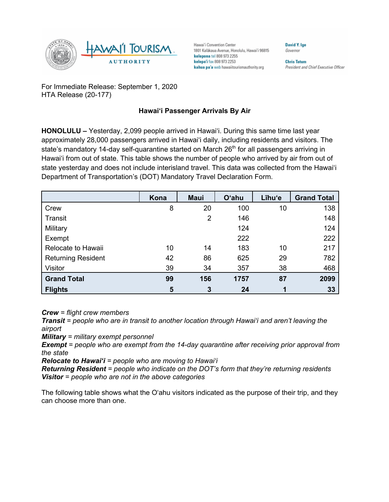

Hawai'i Convention Center 1801 Kalākaua Avenue, Honolulu, Hawai'i 96815 kelepona tel 808 973 2255 kelepa'i fax 808 973 2253 kahua pa'a web hawaiitourismauthority.org

**Chris Tatum** 

**David Y. Ige** 

Governor

President and Chief Executive Officer

For Immediate Release: September 1, 2020 HTA Release (20-177)

## **Hawai'i Passenger Arrivals By Air**

**HONOLULU –** Yesterday, 2,099 people arrived in Hawai'i. During this same time last year approximately 28,000 passengers arrived in Hawai'i daily, including residents and visitors. The state's mandatory 14-day self-quarantine started on March  $26<sup>th</sup>$  for all passengers arriving in Hawai'i from out of state. This table shows the number of people who arrived by air from out of state yesterday and does not include interisland travel. This data was collected from the Hawai'i Department of Transportation's (DOT) Mandatory Travel Declaration Form.

|                           | Kona | <b>Maui</b>    | <b>O'ahu</b> | Līhu'e | <b>Grand Total</b> |
|---------------------------|------|----------------|--------------|--------|--------------------|
| Crew                      | 8    | 20             | 100          | 10     | 138                |
| <b>Transit</b>            |      | $\overline{2}$ | 146          |        | 148                |
| Military                  |      |                | 124          |        | 124                |
| Exempt                    |      |                | 222          |        | 222                |
| Relocate to Hawaii        | 10   | 14             | 183          | 10     | 217                |
| <b>Returning Resident</b> | 42   | 86             | 625          | 29     | 782                |
| Visitor                   | 39   | 34             | 357          | 38     | 468                |
| <b>Grand Total</b>        | 99   | 156            | 1757         | 87     | 2099               |
| <b>Flights</b>            | 5    | 3              | 24           |        | 33                 |

*Crew = flight crew members*

*Transit = people who are in transit to another location through Hawai'i and aren't leaving the airport*

*Military = military exempt personnel*

*Exempt = people who are exempt from the 14-day quarantine after receiving prior approval from the state*

*Relocate to Hawai'i = people who are moving to Hawai'i*

*Returning Resident = people who indicate on the DOT's form that they're returning residents Visitor = people who are not in the above categories*

The following table shows what the O'ahu visitors indicated as the purpose of their trip, and they can choose more than one.